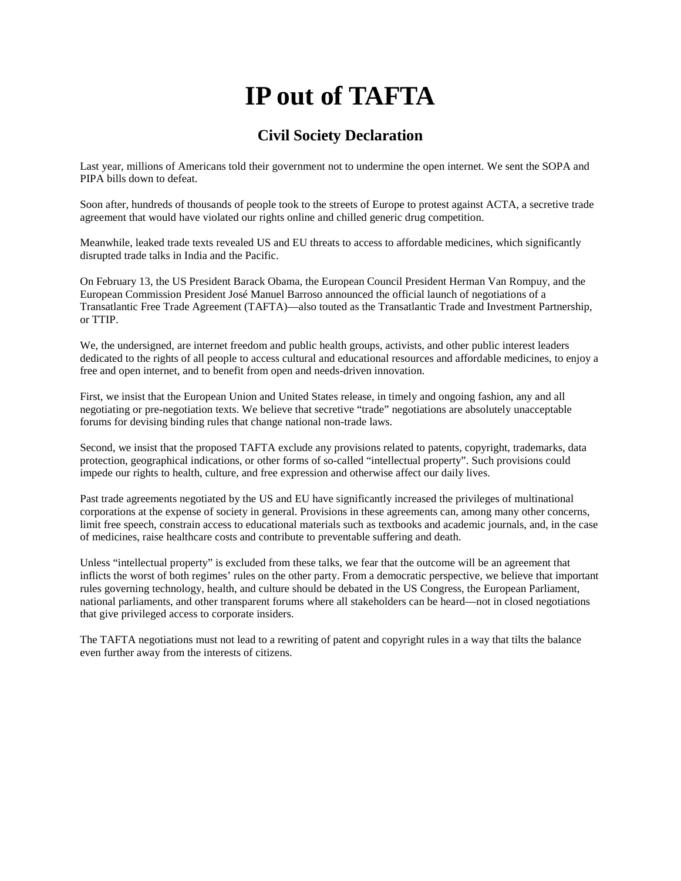# **IP out of TAFTA**

### **Civil Society Declaration**

Last year, millions of Americans told their government not to undermine the open internet. We sent the SOPA and PIPA bills down to defeat.

Soon after, hundreds of thousands of people took to the streets of Europe to protest against ACTA, a secretive trade agreement that would have violated our rights online and chilled generic drug competition.

Meanwhile, leaked trade texts revealed US and EU threats to access to affordable medicines, which significantly disrupted trade talks in India and the Pacific.

On February 13, the US President Barack Obama, the European Council President Herman Van Rompuy, and the European Commission President José Manuel Barroso announced the official launch of negotiations of a Transatlantic Free Trade Agreement (TAFTA)—also touted as the Transatlantic Trade and Investment Partnership, or TTIP.

We, the undersigned, are internet freedom and public health groups, activists, and other public interest leaders dedicated to the rights of all people to access cultural and educational resources and affordable medicines, to enjoy a free and open internet, and to benefit from open and needs-driven innovation.

First, we insist that the European Union and United States release, in timely and ongoing fashion, any and all negotiating or pre-negotiation texts. We believe that secretive "trade" negotiations are absolutely unacceptable forums for devising binding rules that change national non-trade laws.

Second, we insist that the proposed TAFTA exclude any provisions related to patents, copyright, trademarks, data protection, geographical indications, or other forms of so-called "intellectual property". Such provisions could impede our rights to health, culture, and free expression and otherwise affect our daily lives.

Past trade agreements negotiated by the US and EU have significantly increased the privileges of multinational corporations at the expense of society in general. Provisions in these agreements can, among many other concerns, limit free speech, constrain access to educational materials such as textbooks and academic journals, and, in the case of medicines, raise healthcare costs and contribute to preventable suffering and death.

Unless "intellectual property" is excluded from these talks, we fear that the outcome will be an agreement that inflicts the worst of both regimes' rules on the other party. From a democratic perspective, we believe that important rules governing technology, health, and culture should be debated in the US Congress, the European Parliament, national parliaments, and other transparent forums where all stakeholders can be heard—not in closed negotiations that give privileged access to corporate insiders.

The TAFTA negotiations must not lead to a rewriting of patent and copyright rules in a way that tilts the balance even further away from the interests of citizens.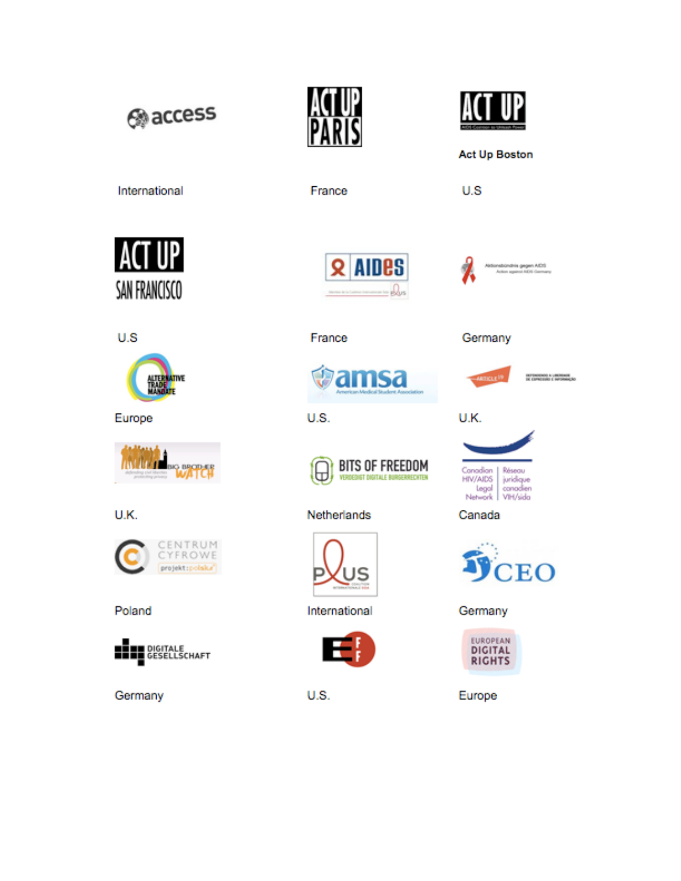@access



France





U.S

International

ACT SAN FRANCISCO





INFINORMO A LIMINARE<br>IN COPRESSO E INFORMAÇÃO

U.S



Europe



U.K.







Germany





France



#### U.S.



#### Netherlands



International



U.S.





Germany

#### Canada



Germany



Europe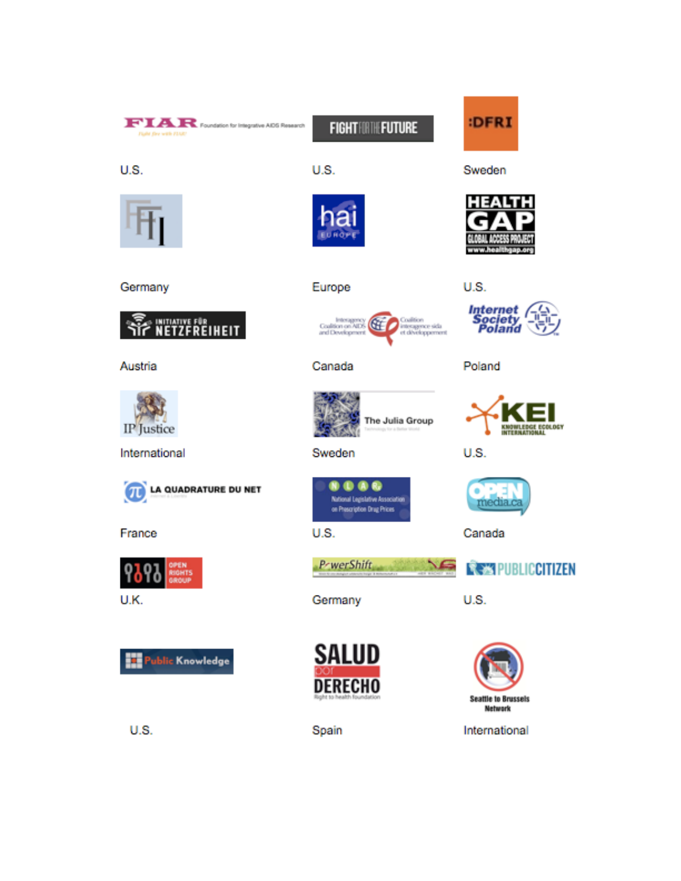## FIAR Foundation for Integrative ADS Research

**FIGHTHETHE FUTURE** 



U.S.



Germany



Europe

Canada

U.S.



Sweden



Poland

U.S.







Canada



U.S.



International









PrwerShift

Germany

**SALUD DERECHO** 

Spain

**U.S.** 

t.



Austria



International

**LA QUADRATURE DU NET** 冗

ublic Knowledge

France









Coalition<br>interagence sida<br>et développement **Coalition on AIDS**<br>and Development

U.S.